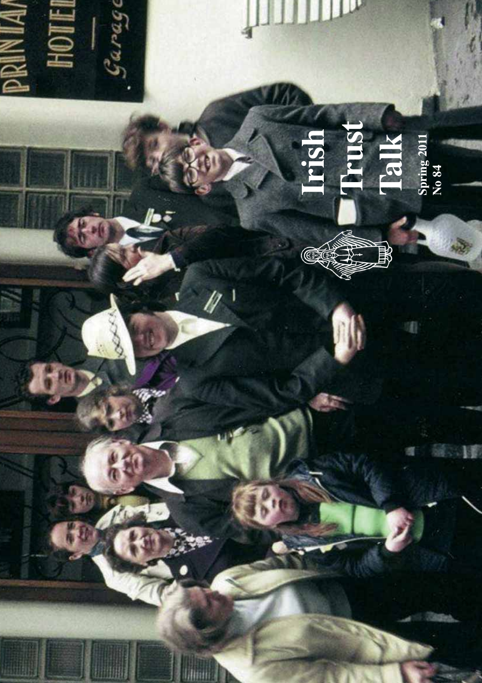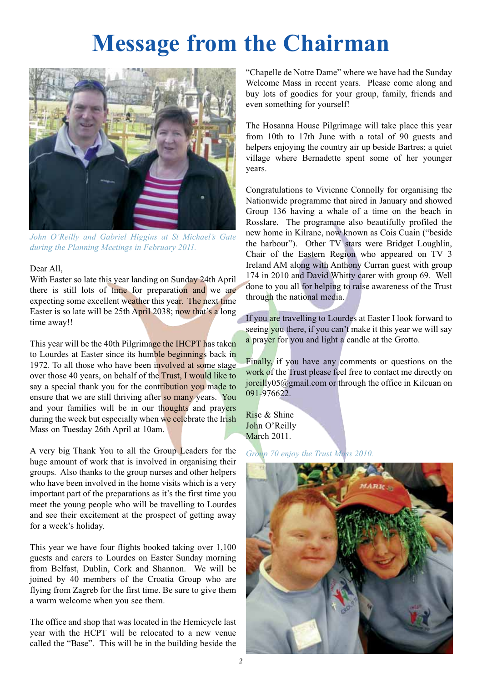## **Message from the Chairman**



*John O'Reilly and Gabriel Higgins at St Michael's Gate during the Planning Meetings in February 2011.*

#### Dear All,

With Easter so late this year landing on Sunday 24th April there is still lots of time for preparation and we are expecting some excellent weather this year. The next time Easter is so late will be 25th April 2038; now that's a long time away!!

This year will be the 40th Pilgrimage the IHCPT has taken to Lourdes at Easter since its humble beginnings back in 1972. To all those who have been involved at some stage over those 40 years, on behalf of the Trust, I would like to say a special thank you for the contribution you made to ensure that we are still thriving after so many years. You and your families will be in our thoughts and prayers during the week but especially when we celebrate the Irish Mass on Tuesday 26th April at 10am.

A very big Thank You to all the Group Leaders for the huge amount of work that is involved in organising their groups. Also thanks to the group nurses and other helpers who have been involved in the home visits which is a very important part of the preparations as it's the first time you meet the young people who will be travelling to Lourdes and see their excitement at the prospect of getting away for a week's holiday.

This year we have four flights booked taking over 1,100 guests and carers to Lourdes on Easter Sunday morning from Belfast, Dublin, Cork and Shannon. We will be joined by 40 members of the Croatia Group who are flying from Zagreb for the first time. Be sure to give them a warm welcome when you see them.

The office and shop that was located in the Hemicycle last year with the HCPT will be relocated to a new venue called the "Base". This will be in the building beside the "Chapelle de Notre Dame" where we have had the Sunday Welcome Mass in recent years. Please come along and buy lots of goodies for your group, family, friends and even something for yourself!

The Hosanna House Pilgrimage will take place this year from 10th to 17th June with a total of 90 guests and helpers enjoying the country air up beside Bartres; a quiet village where Bernadette spent some of her younger years.

Congratulations to Vivienne Connolly for organising the Nationwide programme that aired in January and showed Group 136 having a whale of a time on the beach in Rosslare. The programme also beautifully profiled the new home in Kilrane, now known as Cois Cuain ("beside the harbour"). Other TV stars were Bridget Loughlin, Chair of the Eastern Region who appeared on TV 3 Ireland AM along with Anthony Curran guest with group 174 in 2010 and David Whitty carer with group 69. Well done to you all for helping to raise awareness of the Trust through the national media.

If you are travelling to Lourdes at Easter I look forward to seeing you there, if you can't make it this year we will say a prayer for you and light a candle at the Grotto.

Finally, if you have any comments or questions on the work of the Trust please feel free to contact me directly on joreilly05@gmail.com or through the office in Kilcuan on 091-976622.

Rise & Shine John O'Reilly March 2011.

*Group 70 enjoy the Trust Mass 2010.*

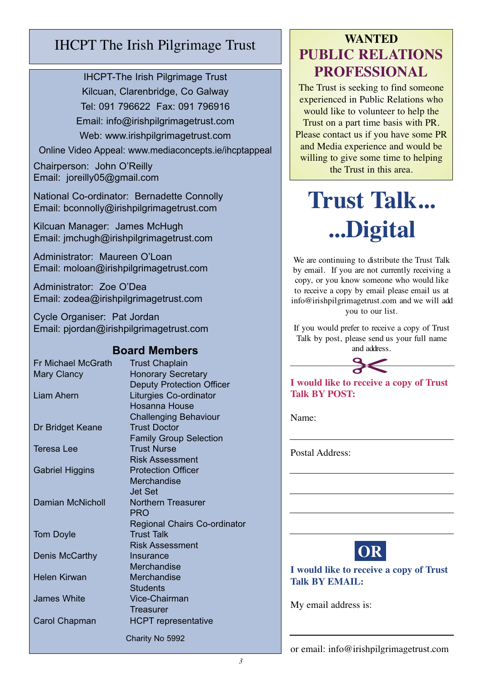#### IHCPT The Irish Pilgrimage Trust

IHCPT-The Irish Pilgrimage Trust Kilcuan, Clarenbridge, Co Galway Tel: 091 796622 Fax: 091 796916 Email: info@irishpilgrimagetrust.com Web: www.irishpilgrimagetrust.com

Online Video Appeal: www.mediaconcepts.ie/ihcptappeal

Chairperson: John O'Reilly Email: joreilly05@gmail.com

National Co-ordinator: Bernadette Connolly Email: bconnolly@irishpilgrimagetrust.com

Kilcuan Manager: James McHugh Email: jmchugh@irishpilgrimagetrust.com

Administrator: Maureen O'Loan Email: moloan@irishpilgrimagetrust.com

Administrator: Zoe O'Dea Email: zodea@irishpilgrimagetrust.com

Cycle Organiser: Pat Jordan Email: pjordan@irishpilgrimagetrust.com

#### **Board Members**

| <b>Fr Michael McGrath</b> | <b>Trust Chaplain</b>                                      |
|---------------------------|------------------------------------------------------------|
| <b>Mary Clancy</b>        | <b>Honorary Secretary</b>                                  |
| Liam Ahern                | <b>Deputy Protection Officer</b><br>Liturgies Co-ordinator |
|                           | Hosanna House                                              |
|                           | <b>Challenging Behaviour</b>                               |
| Dr Bridget Keane          | <b>Trust Doctor</b>                                        |
|                           | <b>Family Group Selection</b>                              |
| Teresa Lee                | <b>Trust Nurse</b>                                         |
|                           | Risk Assessment                                            |
| <b>Gabriel Higgins</b>    | <b>Protection Officer</b>                                  |
|                           | Merchandise                                                |
|                           | <b>Jet Set</b>                                             |
| Damian McNicholl          | Northern Treasurer                                         |
|                           | <b>PRO</b>                                                 |
|                           | Regional Chairs Co-ordinator                               |
| <b>Tom Doyle</b>          | <b>Trust Talk</b>                                          |
|                           | <b>Risk Assessment</b>                                     |
| Denis McCarthy            | Insurance                                                  |
|                           | Merchandise                                                |
| Helen Kirwan              | Merchandise                                                |
|                           | <b>Students</b>                                            |
| James White               | Vice-Chairman                                              |
|                           | Treasurer                                                  |
| Carol Chapman             | <b>HCPT</b> representative                                 |
|                           | Charity No 5992                                            |

#### **WANTED PUBLIC RELATIONS PROFESSIONAL**

The Trust is seeking to find someone experienced in Public Relations who would like to volunteer to help the Trust on a part time basis with PR. Please contact us if you have some PR and Media experience and would be willing to give some time to helping the Trust in this area.

## **Trust Talk... ...Digital**

We are continuing to distribute the Trust Talk by email. If you are not currently receiving a copy, or you know someone who would like to receive a copy by email please email us at info@irishpilgrimagetrust.com and we will add you to our list.

If you would prefer to receive a copy of Trust Talk by post, please send us your full name<br>and address. and address.



**I would like to receive a copy of Trust Talk BY POST:**

Name:

Postal Address:

**OR**

**I would like to receive a copy of Trust Talk BY EMAIL:**

My email address is: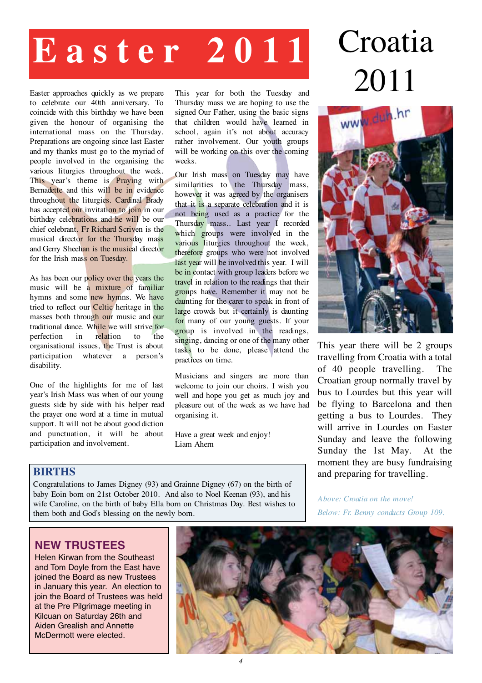# **Easter 2011** Croatia

Easter approaches quickly as we prepare to celebrate our 40th anniversary. To coincide with this birthday we have been given the honour of organising the international mass on the Thursday. Preparations are ongoing since last Easter and my thanks must go to the myriad of people involved in the organising the various liturgies throughout the week. This year's theme is **Praying** with Bernadette and this will be in evidence throughout the liturgies. Cardinal Brady has accepted our invitation to join in our birthday celebrations and he will be our chief celebrant. Fr Richard Scriven is the musical director for the Thursday mass and Gerry Sheehan is the musical director for the Irish mass on Tuesday.

As has been our policy over the years the music will be a mixture of familiar hymns and some new hymns. We have tried to reflect our Celtic heritage in the masses both through our music and our traditional dance. While we will strive for perfection in relation to the organisational issues, the Trust is about participation whatever a person's disability.

One of the highlights for me of last year's Irish Mass was when of our young guests side by side with his helper read the prayer one word at a time in mutual support. It will not be about good diction and punctuation, it will be about participation and involvement.

This year for both the Tuesday and Thursday mass we are hoping to use the signed Our Father, using the basic signs that children would have learned in school, again it's not about accuracy rather involvement. Our youth groups will be working on this over the coming weeks.

Our Irish mass on Tuesday may have similarities to the Thursday mass, however it was agreed by the organisers that it is a separate celebration and it is not being used as a practice for the Thursday mass.. Last year I recorded which groups were involved in the various liturgies throughout the week, therefore groups who were not involved last year will be involved this year. I will be in contact with group leaders before we travel in relation to the readings that their groups have. Remember it may not be daunting for the carer to speak in front of large crowds but it certainly is daunting for many of our young guests. If your group is involved in the readings, singing, dancing or one of the many other tasks to be done, please attend the practices on time.

Musicians and singers are more than welcome to join our choirs. I wish you well and hope you get as much joy and pleasure out of the week as we have had organising it.

Have a great week and enjoy! Liam Ahern

# 2011



This year there will be 2 groups travelling from Croatia with a total of 40 people travelling. The Croatian group normally travel by bus to Lourdes but this year will be flying to Barcelona and then getting a bus to Lourdes. They will arrive in Lourdes on Easter Sunday and leave the following Sunday the 1st May. At the moment they are busy fundraising and preparing for travelling.

#### **BIRTHS**

Congratulations to James Digney (93) and Grainne Digney (67) on the birth of baby Eoin born on 21st October 2010. And also to Noel Keenan (93), and his wife Caroline, on the birth of baby Ella born on Christmas Day. Best wishes to them both and God's blessing on the newly born.

*Above: Croatia on the move! Below: Fr. Benny conducts Group 109.*

#### **NEW TRUSTEES**

Helen Kirwan from the Southeast and Tom Doyle from the East have joined the Board as new Trustees in January this year. An election to join the Board of Trustees was held at the Pre Pilgrimage meeting in Kilcuan on Saturday 26th and Aiden Grealish and Annette McDermott were elected.

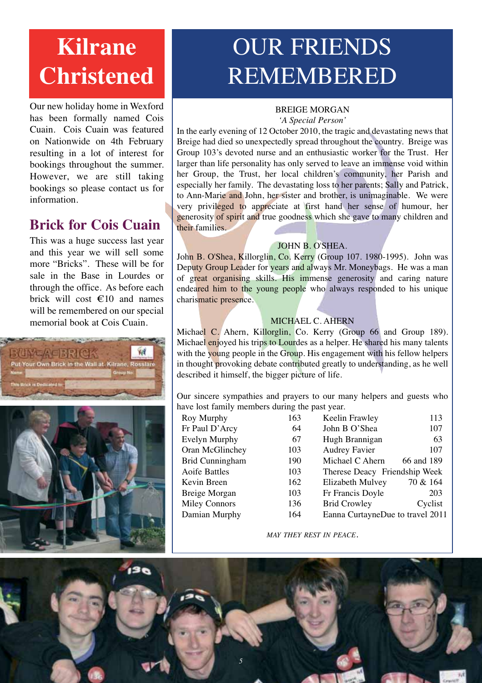## **Kilrane Christened**

Our new holiday home in Wexford has been formally named Cois Cuain. Cois Cuain was featured on Nationwide on 4th February resulting in a lot of interest for bookings throughout the summer. However, we are still taking bookings so please contact us for information.

#### **Brick for Cois Cuain**

This was a huge success last year and this year we will sell some more "Bricks". These will be for sale in the Base in Lourdes or through the office. As before each brick will cost €10 and names will be remembered on our special memorial book at Cois Cuain.



## OUR FRIENDS REMEMBERED

#### BREIGE MORGAN

*'A Special Person'*

In the early evening of 12 October 2010, the tragic and devastating news that Breige had died so unexpectedly spread throughout the country. Breige was Group 103's devoted nurse and an enthusiastic worker for the Trust. Her larger than life personality has only served to leave an immense void within her Group, the Trust, her local children's community, her Parish and especially her family. The devastating loss to her parents; Sally and Patrick, to Ann-Marie and John, her sister and brother, is unimaginable. We were very privileged to appreciate at first hand her sense of humour, her generosity of spirit and true goodness which she gave to many children and their families.

#### JOHN B. O'SHEA.

John B. O'Shea, Killorglin, Co. Kerry (Group 107. 1980-1995). John was Deputy Group Leader for years and always Mr. Moneybags. He was a man of great organising skills. His immense generosity and caring nature endeared him to the young people who always responded to his unique charismatic presence.

#### MICHAEL C. AHERN

Michael C. Ahern, Killorglin, Co. Kerry (Group 66 and Group 189). Michael enjoyed his trips to Lourdes as a helper. He shared his many talents with the young people in the Group. His engagement with his fellow helpers in thought provoking debate contributed greatly to understanding, as he well described it himself, the bigger picture of life.

Our sincere sympathies and prayers to our many helpers and guests who have lost family members during the past year.

| Roy Murphy             | 163 |
|------------------------|-----|
| Fr Paul D'Arcy         | 64  |
| <b>Evelyn Murphy</b>   | 67  |
| Oran McGlinchey        | 103 |
| <b>Brid Cunningham</b> | 190 |
| <b>Aoife Battles</b>   | 103 |
| Kevin Breen            | 162 |
| Breige Morgan          | 103 |
| <b>Miley Connors</b>   | 136 |
| Damian Murphy          | 164 |
|                        |     |

| 3 | Keelin Frawley                   | 113        |
|---|----------------------------------|------------|
| 4 | John B O'Shea                    | 107        |
| 7 | Hugh Brannigan                   | 63         |
| 3 | <b>Audrey Favier</b>             | 107        |
| 0 | Michael C Ahern                  | 66 and 189 |
| 3 | Therese Deacy Friendship Week    |            |
| 2 | Elizabeth Mulvey                 | 70 & 164   |
| 3 | Fr Francis Doyle                 | 203        |
| 6 | <b>Brid Crowley</b>              | Cyclist    |
| 4 | Eanna CurtayneDue to travel 2011 |            |
|   |                                  |            |

*MAY THEY REST IN PEACE.*

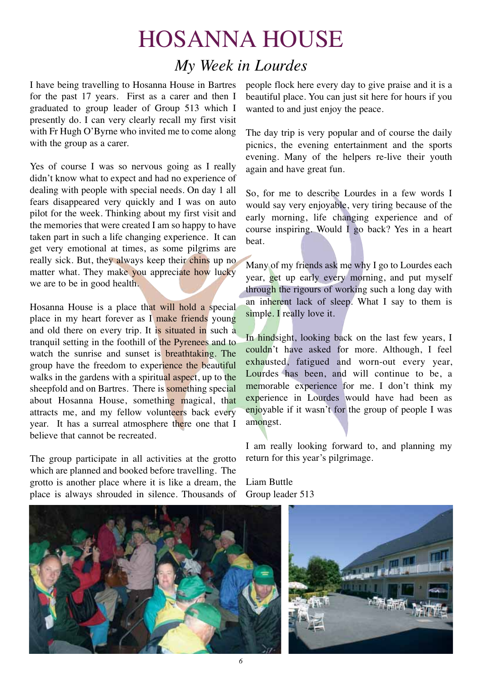## HOSANNA HOUSE *My Week in Lourdes*

I have being travelling to Hosanna House in Bartres for the past 17 years. First as a carer and then I graduated to group leader of Group 513 which I presently do. I can very clearly recall my first visit with Fr Hugh O'Byrne who invited me to come along with the group as a carer.

Yes of course I was so nervous going as I really didn't know what to expect and had no experience of dealing with people with special needs. On day 1 all fears disappeared very quickly and I was on auto pilot for the week. Thinking about my first visit and the memories that were created I am so happy to have taken part in such a life changing experience. It can get very emotional at times, as some pilgrims are really sick. But, they always keep their chins up no matter what. They make you appreciate how lucky we are to be in good health.

Hosanna House is a place that will hold a special place in my heart forever as I make friends young and old there on every trip. It is situated in such a tranquil setting in the foothill of the Pyrenees and to watch the sunrise and sunset is **breathtaking**. The group have the freedom to experience the beautiful walks in the gardens with a spiritual aspect, up to the sheepfold and on Bartres. There is something special about Hosanna House, something magical, that attracts me, and my fellow volunteers back every year. It has a surreal atmosphere there one that I believe that cannot be recreated.

The group participate in all activities at the grotto which are planned and booked before travelling. The grotto is another place where it is like a dream, the place is always shrouded in silence. Thousands of people flock here every day to give praise and it is a beautiful place. You can just sit here for hours if you wanted to and just enjoy the peace.

The day trip is very popular and of course the daily picnics, the evening entertainment and the sports evening. Many of the helpers re-live their youth again and have great fun.

So, for me to describe Lourdes in a few words I would say very enjoyable, very tiring because of the early morning, life changing experience and of course inspiring. Would I go back? Yes in a heart beat.

Many of my friends ask me why I go to Lourdes each year, get up early every morning, and put myself through the rigours of working such a long day with an inherent lack of sleep. What I say to them is simple. I really love it.

In hindsight, looking back on the last few years, I couldn't have asked for more. Although, I feel exhausted, fatigued and worn-out every year, Lourdes has been, and will continue to be, a memorable experience for me. I don't think my experience in Lourdes would have had been as enjoyable if it wasn't for the group of people I was amongst.

I am really looking forward to, and planning my return for this year's pilgrimage.

Liam Buttle Group leader 513



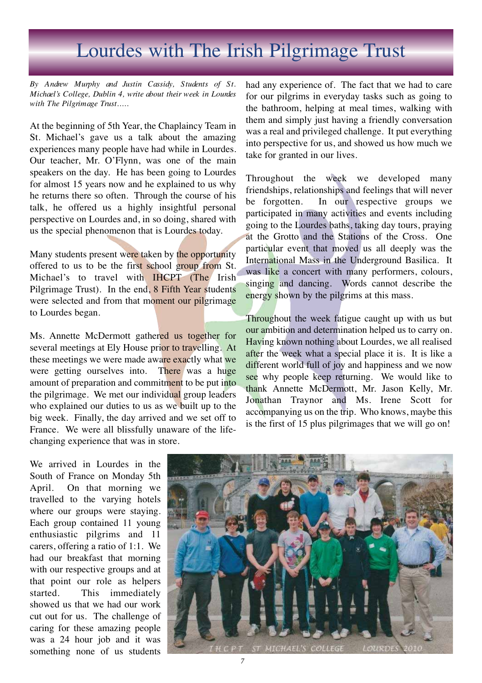## Lourdes with The Irish Pilgrimage Trust

*By Andrew Murphy and Justin Cassidy, Students of St. Michael's College, Dublin 4, write about their week in Lourdes with The Pilgrimage Trust.....*

At the beginning of 5th Year, the Chaplaincy Team in St. Michael's gave us a talk about the amazing experiences many people have had while in Lourdes. Our teacher, Mr. O'Flynn, was one of the main speakers on the day. He has been going to Lourdes for almost 15 years now and he explained to us why he returns there so often. Through the course of his talk, he offered us a highly insightful personal perspective on Lourdes and, in so doing, shared with us the special phenomenon that is Lourdes today.

Many students present were taken by the opportunity offered to us to be the first school group from St. Michael's to travel with **IHCPT** (The Irish Pilgrimage Trust). In the end, 8 Fifth Year students were selected and from that moment our pilgrimage to Lourdes began.

Ms. Annette McDermott gathered us together for several meetings at Ely House prior to travelling. At these meetings we were made aware exactly what we were getting ourselves into. There was a huge amount of preparation and commitment to be put into the pilgrimage. We met our individual group leaders who explained our duties to us as we built up to the big week. Finally, the day arrived and we set off to France. We were all blissfully unaware of the lifechanging experience that was in store.

had any experience of. The fact that we had to care for our pilgrims in everyday tasks such as going to the bathroom, helping at meal times, walking with them and simply just having a friendly conversation was a real and privileged challenge. It put everything into perspective for us, and showed us how much we take for granted in our lives.

Throughout the week we developed many friendships, relationships and feelings that will never be forgotten. In our respective groups we participated in many activities and events including going to the Lourdes baths, taking day tours, praying at the Grotto and the Stations of the Cross. One particular event that moved us all deeply was the International Mass in the Underground Basilica. It was like a concert with many performers, colours, singing and dancing. Words cannot describe the energy shown by the pilgrims at this mass.

Throughout the week fatigue caught up with us but our ambition and determination helped us to carry on. Having known nothing about Lourdes, we all realised after the week what a special place it is. It is like a different world full of joy and happiness and we now see why people keep returning. We would like to thank Annette McDermott, Mr. Jason Kelly, Mr. Jonathan Traynor and Ms. Irene Scott for accompanying us on the trip. Who knows, maybe this is the first of 15 plus pilgrimages that we will go on!

We arrived in Lourdes in the South of France on Monday 5th April. On that morning we travelled to the varying hotels where our groups were staying. Each group contained 11 young enthusiastic pilgrims and 11 carers, offering a ratio of 1:1. We had our breakfast that morning with our respective groups and at that point our role as helpers started. This immediately showed us that we had our work cut out for us. The challenge of caring for these amazing people was a 24 hour job and it was something none of us students

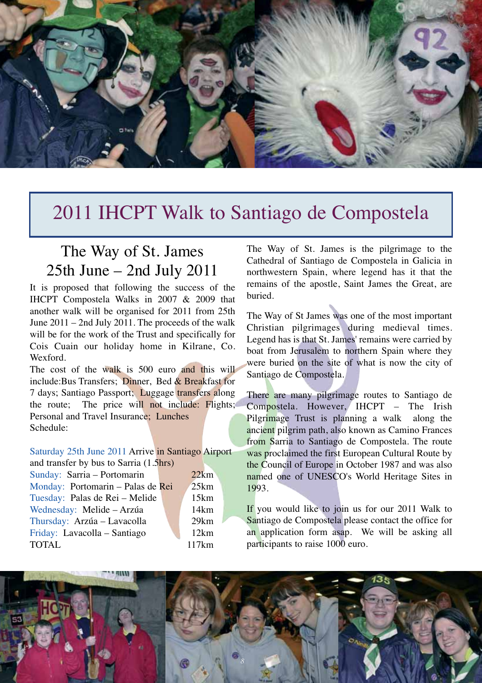

### 2011 IHCPT Walk to Santiago de Compostela

#### The Way of St. James 25th June – 2nd July 2011

It is proposed that following the success of the IHCPT Compostela Walks in 2007 & 2009 that another walk will be organised for 2011 from 25th June 2011 – 2nd July 2011. The proceeds of the walk will be for the work of the Trust and specifically for Cois Cuain our holiday home in Kilrane, Co. Wexford.

The cost of the walk is 500 euro and this will include:Bus Transfers; Dinner, Bed & Breakfast for 7 days; Santiago Passport; Luggage transfers along the route; The price will not include: Flights; Personal and Travel Insurance; Lunches Schedule:

Saturday 25th June 2011 Arrive in Santiago Airport and transfer by bus to Sarria (1.5hrs)

Sunday: Sarria – Portomarin 22km Monday: Portomarin – Palas de Rei 25km Tuesday: Palas de Rei – Melide 15km Wednesday: Melide – Arzúa 14km Thursday: Arzúa – Lavacolla 29km Friday: Lavacolla – Santiago 12km TOTAL 117km

The Way of St. James is the pilgrimage to the Cathedral of Santiago de Compostela in Galicia in northwestern Spain, where legend has it that the remains of the apostle, Saint James the Great, are buried.

The Way of St James was one of the most important Christian pilgrimages during medieval times. Legend has is that St. James' remains were carried by boat from Jerusalem to northern Spain where they were buried on the site of what is now the city of Santiago de Compostela.

There are many pilgrimage routes to Santiago de Compostela. However, IHCPT – The Irish Pilgrimage Trust is planning a walk along the ancient pilgrim path, also known as Camino Frances from Sarria to Santiago de Compostela. The route was proclaimed the first European Cultural Route by the Council of Europe in October 1987 and was also named one of UNESCO's World Heritage Sites in 1993.

If you would like to join us for our 2011 Walk to Santiago de Compostela please contact the office for an application form asap. We will be asking all participants to raise 1000 euro.

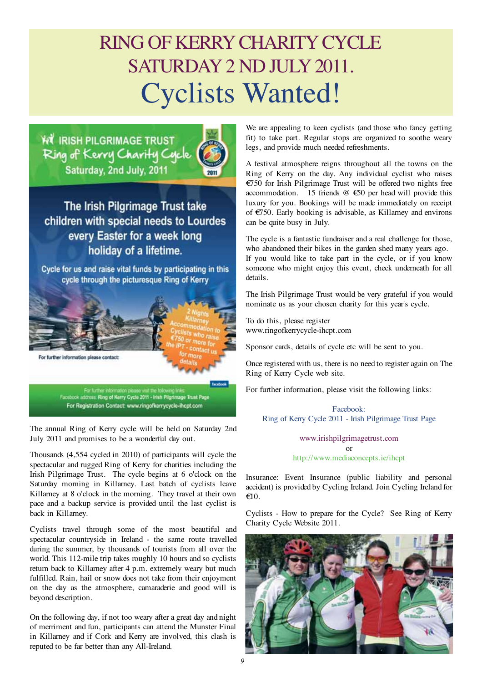## RING OF KERRY CHARITY CYCLE SATURDAY 2 ND JULY 2011. Cyclists Wanted!

W IRISH PILGRIMAGE TRUST Ring of Kerry Charity Cycle Saturday, 2nd July, 2011



The Irish Pilgrimage Trust take children with special needs to Lourdes every Easter for a week long holiday of a lifetime.

Cycle for us and raise vital funds by participating in this cycle through the picturesque Ring of Kerry



Facebook address: Ring of Kerry Cycle 2011 - Irish Pilgrimage Trust Page For Registration Contact: www.ringofkerrycycle-ihcpt.com

The annual Ring of Kerry cycle will be held on Saturday 2nd July 2011 and promises to be a wonderful day out.

Thousands (4,554 cycled in 2010) of participants will cycle the spectacular and rugged Ring of Kerry for charities including the Irish Pilgrimage Trust. The cycle begins at 6 o'clock on the Saturday morning in Killarney. Last batch of cyclists leave Killarney at 8 o'clock in the morning. They travel at their own pace and a backup service is provided until the last cyclist is back in Killarney.

Cyclists travel through some of the most beautiful and spectacular countryside in Ireland - the same route travelled during the summer, by thousands of tourists from all over the world. This 112-mile trip takes roughly 10 hours and so cyclists return back to Killarney after 4 p.m. extremely weary but much fulfilled. Rain, hail or snow does not take from their enjoyment on the day as the atmosphere, camaraderie and good will is beyond description.

On the following day, if not too weary after a great day and night of merriment and fun, participants can attend the Munster Final in Killarney and if Cork and Kerry are involved, this clash is reputed to be far better than any All-Ireland.

We are appealing to keen cyclists (and those who fancy getting fit) to take part. Regular stops are organized to soothe weary legs, and provide much needed refreshments.

A festival atmosphere reigns throughout all the towns on the Ring of Kerry on the day. Any individual cyclist who raises €750 for Irish Pilgrimage Trust will be offered two nights free accommodation. 15 friends  $@ \text{ } \infty 50$  per head will provide this luxury for you. Bookings will be made immediately on receipt of €750. Early booking is advisable, as Killarney and environs can be quite busy in July.

The cycle is a fantastic fundraiser and a real challenge for those, who abandoned their bikes in the garden shed many years ago. If you would like to take part in the cycle, or if you know someone who might enjoy this event, check underneath for all details.

The Irish Pilgrimage Trust would be very grateful if you would nominate us as your chosen charity for this year's cycle.

To do this, please register www.ringofkerrycycle-ihcpt.com

Sponsor cards, details of cycle etc will be sent to you.

Once registered with us, there is no need to register again on The Ring of Kerry Cycle web site.

For further information, please visit the following links:

Facebook: Ring of Kerry Cycle 2011 - Irish Pilgrimage Trust Page

> www.irishpilgrimagetrust.com or http://www.mediaconcepts.ie/ihcpt

Insurance: Event Insurance (public liability and personal accident) is provided by Cycling Ireland. Join Cycling Ireland for  $\epsilon$ 10.

Cyclists - How to prepare for the Cycle? See Ring of Kerry Charity Cycle Website 2011.

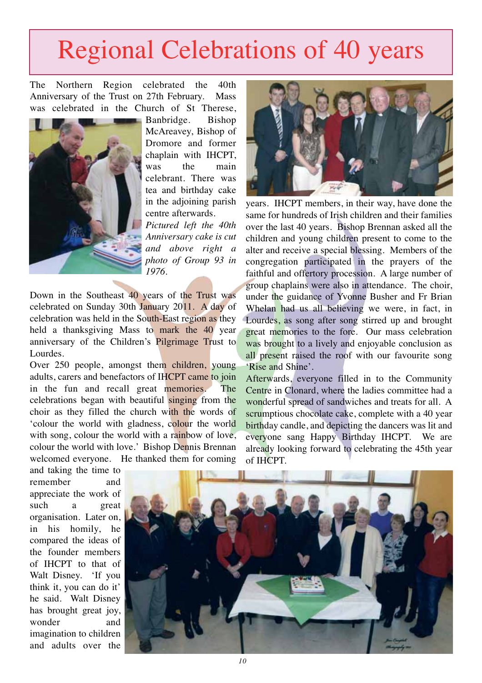## Regional Celebrations of 40 years

The Northern Region celebrated the 40th Anniversary of the Trust on 27th February. Mass was celebrated in the Church of St Therese,



Banbridge. Bishop McAreavey, Bishop of Dromore and former chaplain with IHCPT, was the main celebrant. There was tea and birthday cake in the adjoining parish centre afterwards.

*Pictured left the 40th Anniversary cake is cut and above right a photo of Group 93 in 1976.*

Down in the Southeast 40 years of the Trust was celebrated on Sunday 30th January 2011. A day of celebration was held in the South-East region as they held a thanksgiving Mass to mark the 40 year anniversary of the Children's Pilgrimage Trust to Lourdes.

Over 250 people, amongst them children, young adults, carers and benefactors of IHCPT came to join in the fun and recall great memories. The celebrations began with beautiful singing from the choir as they filled the church with the words of 'colour the world with gladness, colour the world with song, colour the world with a rainbow of love, colour the world with love.' Bishop Dennis Brennan welcomed everyone. He thanked them for coming



years. IHCPT members, in their way, have done the same for hundreds of Irish children and their families over the last 40 years. Bishop Brennan asked all the children and young children present to come to the alter and receive a special blessing. Members of the congregation participated in the prayers of the faithful and offertory procession. A large number of group chaplains were also in attendance. The choir, under the guidance of Yvonne Busher and Fr Brian Whelan had us all believing we were, in fact, in Lourdes, as song after song stirred up and brought great memories to the fore. Our mass celebration was brought to a lively and enjoyable conclusion as all present raised the roof with our favourite song 'Rise and Shine'.

Afterwards, everyone filled in to the Community Centre in Clonard, where the ladies committee had a wonderful spread of sandwiches and treats for all. A scrumptious chocolate cake, complete with a 40 year birthday candle, and depicting the dancers was lit and everyone sang Happy Birthday IHCPT. We are already looking forward to celebrating the 45th year of IHCPT.

and taking the time to remember and appreciate the work of such a great organisation. Later on, in his homily, he compared the ideas of the founder members of IHCPT to that of Walt Disney. 'If you think it, you can do it' he said. Walt Disney has brought great joy, wonder and imagination to children and adults over the

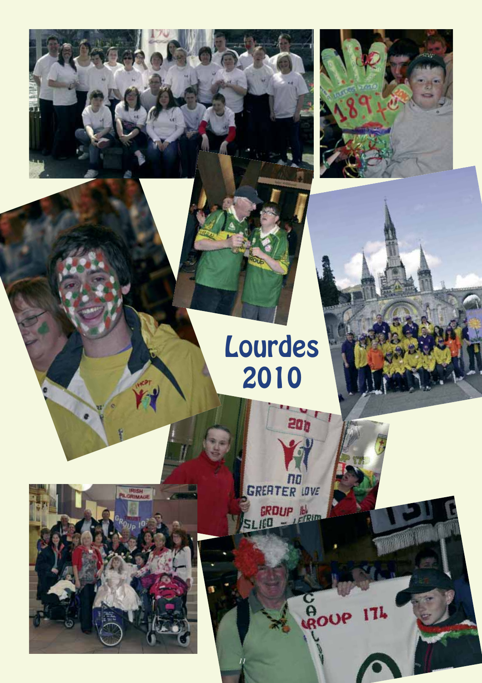

# Lourdes 2010

**20h** 

C<br>ROUP 174

**CREATER LOVE** 

SLICO - LERIN

*11*